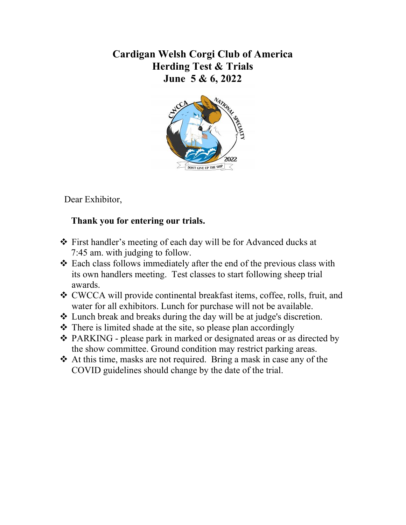## Cardigan Welsh Corgi Club of America Herding Test & Trials June 5 & 6, 2022



Dear Exhibitor,

## Thank you for entering our trials.

- First handler's meeting of each day will be for Advanced ducks at 7:45 am. with judging to follow.
- Each class follows immediately after the end of the previous class with its own handlers meeting. Test classes to start following sheep trial awards.
- CWCCA will provide continental breakfast items, coffee, rolls, fruit, and water for all exhibitors. Lunch for purchase will not be available.
- Lunch break and breaks during the day will be at judge's discretion.
- $\cdot \cdot$  There is limited shade at the site, so please plan accordingly
- PARKING please park in marked or designated areas or as directed by the show committee. Ground condition may restrict parking areas.
- At this time, masks are not required. Bring a mask in case any of the COVID guidelines should change by the date of the trial.